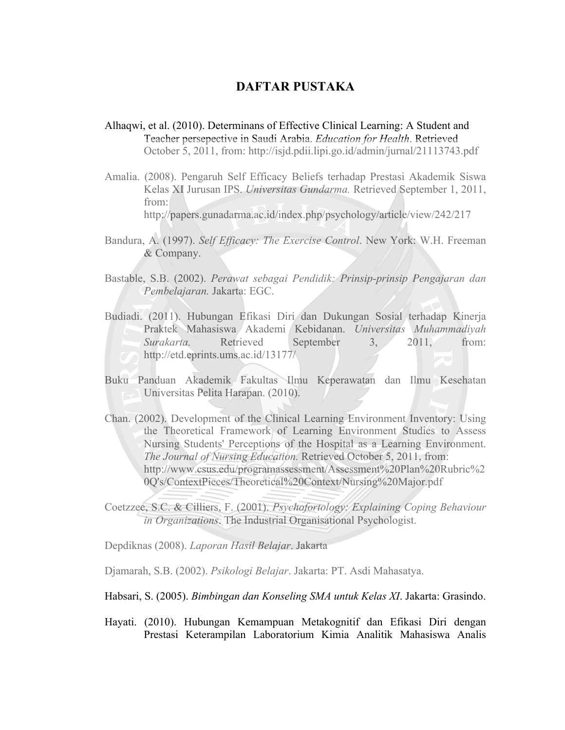## **DAFTAR PUSTAKA**

- Alhaqwi, et al. (2010). Determinans of Effective Clinical Learning: A Student and Teacher persepective in Saudi Arabia. *Education for Health*. Retrieved October 5, 2011, from: http://isjd.pdii.lipi.go.id/admin/jurnal/21113743.pdf
- Amalia. (2008). Pengaruh Self Efficacy Beliefs terhadap Prestasi Akademik Siswa Kelas XI Jurusan IPS. *Universitas Gundarma.* Retrieved September 1, 2011, from:

http://papers.gunadarma.ac.id/index.php/psychology/article/view/242/217

- Bandura, A. (1997). *Self Efficacy: The Exercise Control*. New York: W.H. Freeman & Company.
- Bastable, S.B. (2002). *Perawat sebagai Pendidik: Prinsip-prinsip Pengajaran dan Pembelajaran.* Jakarta: EGC.
- Budiadi. (2011). Hubungan Efikasi Diri dan Dukungan Sosial terhadap Kinerja Praktek Mahasiswa Akademi Kebidanan. *Universitas Muhammadiyah Surakarta.* Retrieved September 3, 2011, from: http://etd.eprints.ums.ac.id/13177/
- Buku Panduan Akademik Fakultas Ilmu Keperawatan dan Ilmu Kesehatan Universitas Pelita Harapan. (2010).
- Chan. (2002). Development of the Clinical Learning Environment Inventory: Using the Theoretical Framework of Learning Environment Studies to Assess Nursing Students' Perceptions of the Hospital as a Learning Environment. *The Journal of Nursing Education.* Retrieved October 5, 2011, from: http://www.csus.edu/programassessment/Assessment%20Plan%20Rubric%2 0Q's/ContextPieces/Theoretical%20Context/Nursing%20Major.pdf
- Coetzzee, S.C. & Cilliers, F. (2001). *Psychofortology: Explaining Coping Behaviour in Organizations*. The Industrial Organisational Psychologist.

Depdiknas (2008). *Laporan Hasil Belajar*. Jakarta

Djamarah, S.B. (2002). *Psikologi Belajar*. Jakarta: PT. Asdi Mahasatya.

Habsari, S. (2005). *Bimbingan dan Konseling SMA untuk Kelas XI*. Jakarta: Grasindo.

Hayati. (2010). Hubungan Kemampuan Metakognitif dan Efikasi Diri dengan Prestasi Keterampilan Laboratorium Kimia Analitik Mahasiswa Analis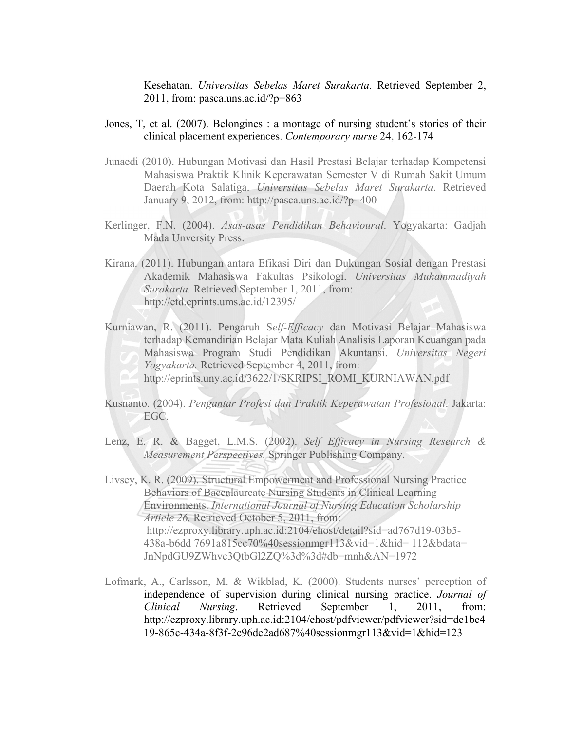Kesehatan. *Universitas Sebelas Maret Surakarta.* Retrieved September 2, 2011, from: pasca.uns.ac.id/?p=863

- Jones, T, et al. (2007). Belongines : a montage of nursing student's stories of their clinical placement experiences. *Contemporary nurse* 24, 162-174
- Junaedi (2010). Hubungan Motivasi dan Hasil Prestasi Belajar terhadap Kompetensi Mahasiswa Praktik Klinik Keperawatan Semester V di Rumah Sakit Umum Daerah Kota Salatiga. *Universitas Sebelas Maret Surakarta*. Retrieved January 9, 2012, from: http://pasca.uns.ac.id/?p=400
- Kerlinger, F.N. (2004). *Asas-asas Pendidikan Behavioural*. Yogyakarta: Gadjah Mada Unversity Press.
- Kirana. (2011). Hubungan antara Efikasi Diri dan Dukungan Sosial dengan Prestasi Akademik Mahasiswa Fakultas Psikologi. *Universitas Muhammadiyah Surakarta.* Retrieved September 1, 2011, from: http://etd.eprints.ums.ac.id/12395/
- Kurniawan, R. (2011). Pengaruh S*elf-Efficacy* dan Motivasi Belajar Mahasiswa terhadap Kemandirian Belajar Mata Kuliah Analisis Laporan Keuangan pada Mahasiswa Program Studi Pendidikan Akuntansi. *Universitas Negeri Yogyakarta.* Retrieved September 4, 2011, from:
	- http://eprints.uny.ac.id/3622/1/SKRIPSI\_ROMI\_KURNIAWAN.pdf
- Kusnanto. (2004). *Pengantar Profesi dan Praktik Keperawatan Profesional*. Jakarta: EGC.
- Lenz, E. R. & Bagget, L.M.S. (2002). *Self Efficacy in Nursing Research & Measurement Perspectives.* Springer Publishing Company.
- Livsey, K. R. (2009). Structural Empowerment and Professional Nursing Practice Behaviors of Baccalaureate Nursing Students in Clinical Learning Environments. *International Journal of Nursing Education Scholarship Article 26.* Retrieved October 5, 2011, from: http://ezproxy.library.uph.ac.id:2104/ehost/detail?sid=ad767d19-03b5- 438a-b6dd 7691a815cc70%40sessionmgr113&vid=1&hid= 112&bdata= JnNpdGU9ZWhvc3QtbGl2ZQ%3d%3d#db=mnh&AN=1972
- Lofmark, A., Carlsson, M. & Wikblad, K. (2000). Students nurses' perception of independence of supervision during clinical nursing practice. *Journal of Clinical Nursing*. Retrieved September 1, 2011, from: http://ezproxy.library.uph.ac.id:2104/ehost/pdfviewer/pdfviewer?sid=de1be4 19-865c-434a-8f3f-2c96de2ad687%40sessionmgr113&vid=1&hid=123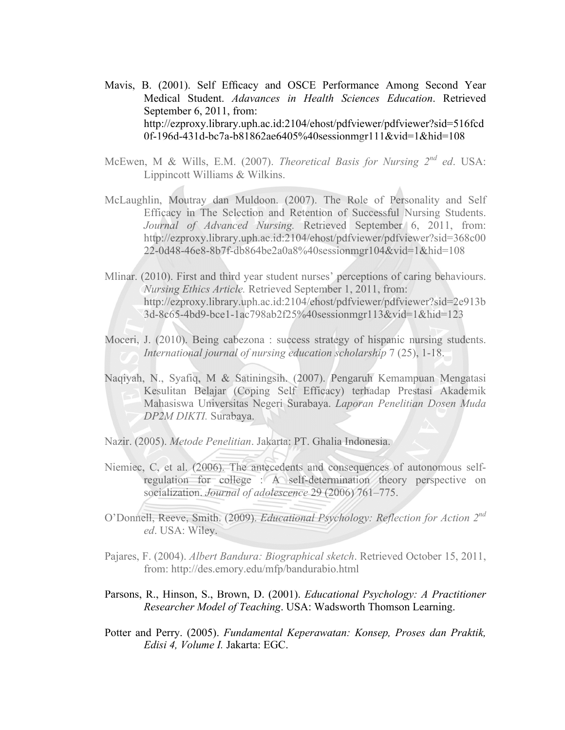Mavis, B. (2001). Self Efficacy and OSCE Performance Among Second Year Medical Student. *Adavances in Health Sciences Education*. Retrieved September 6, 2011, from: http://ezproxy.library.uph.ac.id:2104/ehost/pdfviewer/pdfviewer?sid=516fcd 0f-196d-431d-bc7a-b81862ae6405%40sessionmgr111&vid=1&hid=108

- McEwen, M & Wills, E.M. (2007). *Theoretical Basis for Nursing 2nd ed*. USA: Lippincott Williams & Wilkins.
- McLaughlin, Moutray dan Muldoon. (2007). The Role of Personality and Self Efficacy in The Selection and Retention of Successful Nursing Students. *Journal of Advanced Nursing.* Retrieved September 6, 2011, from: http://ezproxy.library.uph.ac.id:2104/ehost/pdfviewer/pdfviewer?sid=368c00 22-0d48-46e8-8b7f-db864be2a0a8%40sessionmgr104&vid=1&hid=108
- Mlinar. (2010). First and third year student nurses' perceptions of caring behaviours. *Nursing Ethics Article.* Retrieved September 1, 2011, from: http://ezproxy.library.uph.ac.id:2104/ehost/pdfviewer/pdfviewer?sid=2e913b 3d-8c65-4bd9-bce1-1ac798ab2f25%40sessionmgr113&vid=1&hid=123
- Moceri, J. (2010). Being cabezona : success strategy of hispanic nursing students. *International journal of nursing education scholarship* 7 (25), 1-18.
- Naqiyah, N., Syafiq, M & Satiningsih. (2007). Pengaruh Kemampuan Mengatasi Kesulitan Belajar (Coping Self Efficacy) terhadap Prestasi Akademik Mahasiswa Universitas Negeri Surabaya. *Laporan Penelitian Dosen Muda DP2M DIKTI.* Surabaya.
- Nazir. (2005). *Metode Penelitian*. Jakarta: PT. Ghalia Indonesia.
- Niemiec, C, et al. (2006). The antecedents and consequences of autonomous selfregulation for college : A self-determination theory perspective on socialization. *Journal of adolescence* 29 (2006) 761–775.
- O'Donnell, Reeve, Smith. (2009). *Educational Psychology: Reflection for Action 2nd ed*. USA: Wiley.
- Pajares, F. (2004). *Albert Bandura: Biographical sketch*. Retrieved October 15, 2011, from: http://des.emory.edu/mfp/bandurabio.html
- Parsons, R., Hinson, S., Brown, D. (2001). *Educational Psychology: A Practitioner Researcher Model of Teaching*. USA: Wadsworth Thomson Learning.
- Potter and Perry. (2005). *Fundamental Keperawatan: Konsep, Proses dan Praktik, Edisi 4, Volume I.* Jakarta: EGC.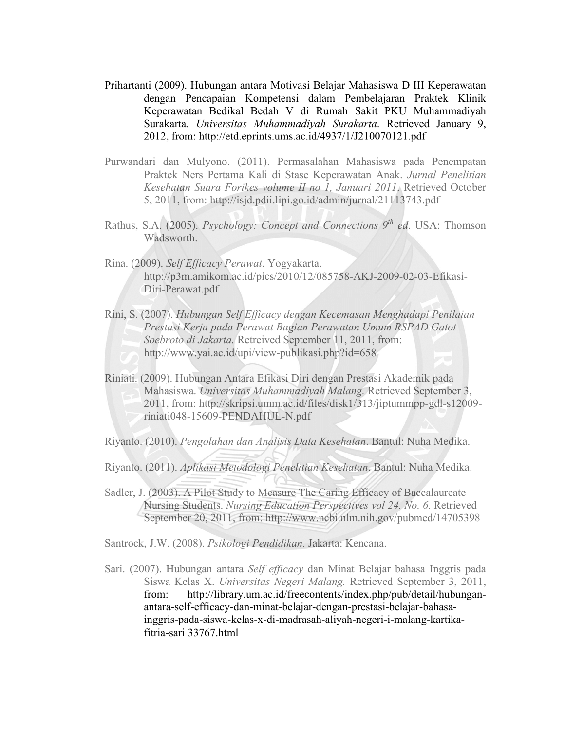- Prihartanti (2009). Hubungan antara Motivasi Belajar Mahasiswa D III Keperawatan dengan Pencapaian Kompetensi dalam Pembelajaran Praktek Klinik Keperawatan Bedikal Bedah V di Rumah Sakit PKU Muhammadiyah Surakarta. *Universitas Muhammadiyah Surakarta*. Retrieved January 9, 2012, from: http://etd.eprints.ums.ac.id/4937/1/J210070121.pdf
- Purwandari dan Mulyono. (2011). Permasalahan Mahasiswa pada Penempatan Praktek Ners Pertama Kali di Stase Keperawatan Anak. *Jurnal Penelitian Kesehatan Suara Forikes volume II no 1, Januari 2011*. Retrieved October 5, 2011, from: http://isjd.pdii.lipi.go.id/admin/jurnal/21113743.pdf
- Rathus, S.A. (2005). *Psychology: Concept and Connections 9th ed*. USA: Thomson Wadsworth.
- Rina. (2009). *Self Efficacy Perawat*. Yogyakarta. http://p3m.amikom.ac.id/pics/2010/12/085758-AKJ-2009-02-03-Efikasi-Diri-Perawat.pdf
- Rini, S. (2007). *Hubungan Self Efficacy dengan Kecemasan Menghadapi Penilaian Prestasi Kerja pada Perawat Bagian Perawatan Umum RSPAD Gatot Soebroto di Jakarta.* Retreived September 11, 2011, from: http://www.yai.ac.id/upi/view-publikasi.php?id=658
- Riniati. (2009). Hubungan Antara Efikasi Diri dengan Prestasi Akademik pada Mahasiswa. *Universitas Muhammadiyah Malang.* Retrieved September 3, 2011, from: http://skripsi.umm.ac.id/files/disk1/313/jiptummpp-gdl-s12009 riniati048-15609-PENDAHUL-N.pdf

Riyanto. (2010). *Pengolahan dan Analisis Data Kesehatan*. Bantul: Nuha Medika.

- Riyanto. (2011). *Aplikasi Metodologi Penelitian Kesehatan*. Bantul: Nuha Medika.
- Sadler, J. (2003). A Pilot Study to Measure The Caring Efficacy of Baccalaureate Nursing Students. *Nursing Education Perspectives vol 24. No. 6.* Retrieved September 20, 2011, from: http://www.ncbi.nlm.nih.gov/pubmed/14705398

Santrock, J.W. (2008). *Psikologi Pendidikan.* Jakarta: Kencana.

Sari. (2007). Hubungan antara *Self efficacy* dan Minat Belajar bahasa Inggris pada Siswa Kelas X. *Universitas Negeri Malang.* Retrieved September 3, 2011, from: http://library.um.ac.id/freecontents/index.php/pub/detail/hubunganantara-self-efficacy-dan-minat-belajar-dengan-prestasi-belajar-bahasainggris-pada-siswa-kelas-x-di-madrasah-aliyah-negeri-i-malang-kartikafitria-sari 33767.html